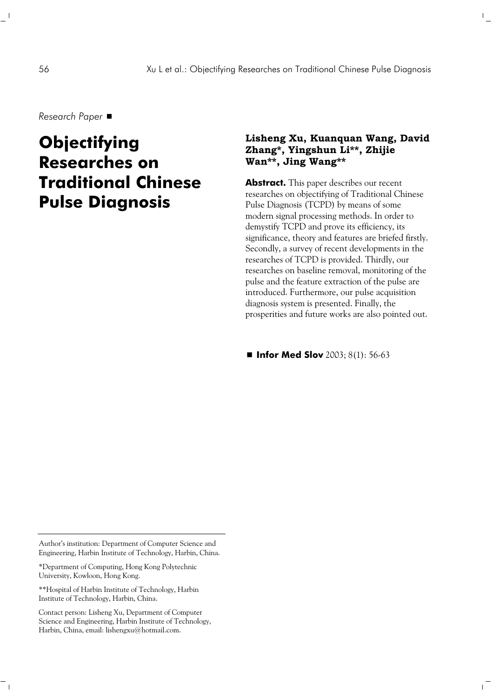*Research Paper* 

# **Objectifying Researches on Traditional Chinese Pulse Diagnosis**

### **Lisheng Xu, Kuanquan Wang, David Zhang\*, Yingshun Li\*\*, Zhijie Wan\*\*, Jing Wang\*\***

 $\mathbb{L}$ 

 $\overline{1}$ 

**Abstract.** This paper describes our recent researches on objectifying of Traditional Chinese Pulse Diagnosis (TCPD) by means of some modern signal processing methods. In order to demystify TCPD and prove its efficiency, its significance, theory and features are briefed firstly. Secondly, a survey of recent developments in the researches of TCPD is provided. Thirdly, our researches on baseline removal, monitoring of the pulse and the feature extraction of the pulse are introduced. Furthermore, our pulse acquisition diagnosis system is presented. Finally, the prosperities and future works are also pointed out.

■ **Infor Med Slov** 2003; 8(1): 56-63

\*Department of Computing, Hong Kong Polytechnic University, Kowloon, Hong Kong.

\*\*Hospital of Harbin Institute of Technology, Harbin Institute of Technology, Harbin, China.

 $\sim$  1

Contact person: Lisheng Xu, Department of Computer Science and Engineering, Harbin Institute of Technology, Harbin, China, email: lishengxu@hotmail.com.

Author's institution: Department of Computer Science and Engineering, Harbin Institute of Technology, Harbin, China.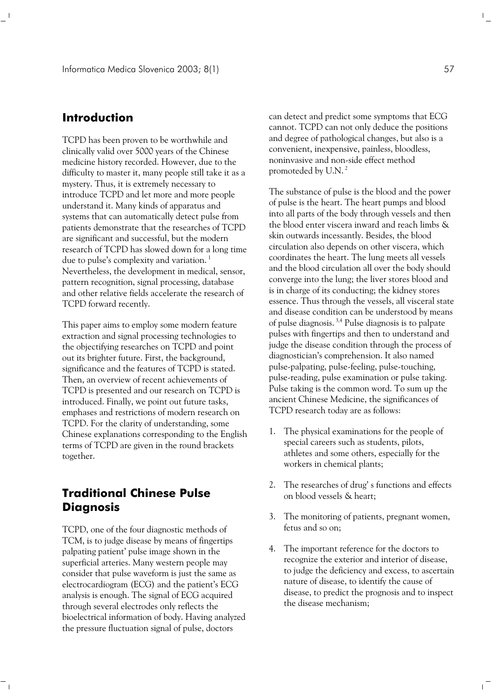## **Introduction**

TCPD has been proven to be worthwhile and clinically valid over 5000 years of the Chinese medicine history recorded. However, due to the difficulty to master it, many people still take it as a mystery. Thus, it is extremely necessary to introduce TCPD and let more and more people understand it. Many kinds of apparatus and systems that can automatically detect pulse from patients demonstrate that the researches of TCPD are significant and successful, but the modern research of TCPD has slowed down for a long time due to pulse's complexity and variation.<sup>1</sup> Nevertheless, the development in medical, sensor, pattern recognition, signal processing, database and other relative fields accelerate the research of TCPD forward recently.

This paper aims to employ some modern feature extraction and signal processing technologies to the objectifying researches on TCPD and point out its brighter future. First, the background, significance and the features of TCPD is stated. Then, an overview of recent achievements of TCPD is presented and our research on TCPD is introduced. Finally, we point out future tasks, emphases and restrictions of modern research on TCPD. For the clarity of understanding, some Chinese explanations corresponding to the English terms of TCPD are given in the round brackets together.

## **Traditional Chinese Pulse Diagnosis**

 $\sqsupset_{\bot}$ 

TCPD, one of the four diagnostic methods of TCM, is to judge disease by means of fingertips palpating patient' pulse image shown in the superficial arteries. Many western people may consider that pulse waveform is just the same as electrocardiogram (ECG) and the patient's ECG analysis is enough. The signal of ECG acquired through several electrodes only reflects the bioelectrical information of body. Having analyzed the pressure fluctuation signal of pulse, doctors

can detect and predict some symptoms that ECG cannot. TCPD can not only deduce the positions and degree of pathological changes, but also is a convenient, inexpensive, painless, bloodless, noninvasive and non-side effect method promoteded by U.N. 2

The substance of pulse is the blood and the power of pulse is the heart. The heart pumps and blood into all parts of the body through vessels and then the blood enter viscera inward and reach limbs & skin outwards incessantly. Besides, the blood circulation also depends on other viscera, which coordinates the heart. The lung meets all vessels and the blood circulation all over the body should converge into the lung; the liver stores blood and is in charge of its conducting; the kidney stores essence. Thus through the vessels, all visceral state and disease condition can be understood by means of pulse diagnosis. 3,4 Pulse diagnosis is to palpate pulses with fingertips and then to understand and judge the disease condition through the process of diagnostician's comprehension. It also named pulse-palpating, pulse-feeling, pulse-touching, pulse-reading, pulse examination or pulse taking. Pulse taking is the common word. To sum up the ancient Chinese Medicine, the significances of TCPD research today are as follows:

- 1. The physical examinations for the people of special careers such as students, pilots, athletes and some others, especially for the workers in chemical plants;
- 2. The researches of drug' s functions and effects on blood vessels & heart;
- 3. The monitoring of patients, pregnant women, fetus and so on;
- 4. The important reference for the doctors to recognize the exterior and interior of disease, to judge the deficiency and excess, to ascertain nature of disease, to identify the cause of disease, to predict the prognosis and to inspect the disease mechanism;

 $\mathbb{R}^n$ 

 $\mathbf{L}$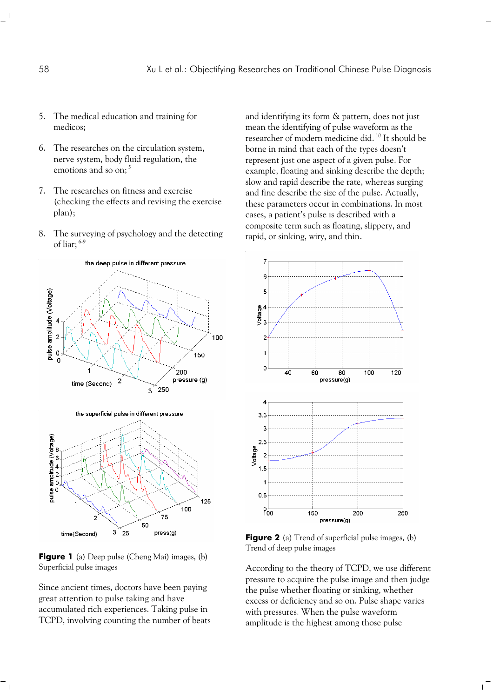- 5. The medical education and training for medicos;
- 6. The researches on the circulation system, nerve system, body fluid regulation, the emotions and so on;<sup>5</sup>
- 7. The researches on fitness and exercise (checking the effects and revising the exercise plan);
- 8. The surveying of psychology and the detecting of liar; 6-9



**Figure 1** (a) Deep pulse (Cheng Mai) images, (b) Superficial pulse images

Since ancient times, doctors have been paying great attention to pulse taking and have accumulated rich experiences. Taking pulse in TCPD, involving counting the number of beats

 $\overline{\phantom{a}}$ 

and identifying its form & pattern, does not just mean the identifying of pulse waveform as the researcher of modern medicine did. 10 It should be borne in mind that each of the types doesn't represent just one aspect of a given pulse. For example, floating and sinking describe the depth; slow and rapid describe the rate, whereas surging and fine describe the size of the pulse. Actually, these parameters occur in combinations. In most cases, a patient's pulse is described with a composite term such as floating, slippery, and rapid, or sinking, wiry, and thin.

 $\mathbb{F}_q$ 

 $\overline{1}$ 



**Figure 2** (a) Trend of superficial pulse images, (b) Trend of deep pulse images

According to the theory of TCPD, we use different pressure to acquire the pulse image and then judge the pulse whether floating or sinking, whether excess or deficiency and so on. Pulse shape varies with pressures. When the pulse waveform amplitude is the highest among those pulse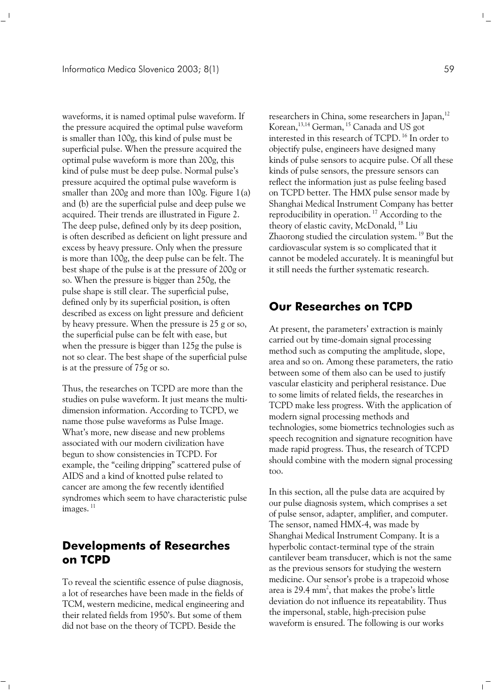waveforms, it is named optimal pulse waveform. If the pressure acquired the optimal pulse waveform is smaller than 100g, this kind of pulse must be superficial pulse. When the pressure acquired the optimal pulse waveform is more than 200g, this kind of pulse must be deep pulse. Normal pulse's pressure acquired the optimal pulse waveform is smaller than 200g and more than 100g. Figure 1(a) and (b) are the superficial pulse and deep pulse we acquired. Their trends are illustrated in Figure 2. The deep pulse, defined only by its deep position, is often described as deficient on light pressure and excess by heavy pressure. Only when the pressure is more than 100g, the deep pulse can be felt. The best shape of the pulse is at the pressure of 200g or so. When the pressure is bigger than 250g, the pulse shape is still clear. The superficial pulse, defined only by its superficial position, is often described as excess on light pressure and deficient by heavy pressure. When the pressure is 25 g or so, the superficial pulse can be felt with ease, but when the pressure is bigger than 125g the pulse is not so clear. The best shape of the superficial pulse is at the pressure of 75g or so.

Thus, the researches on TCPD are more than the studies on pulse waveform. It just means the multidimension information. According to TCPD, we name those pulse waveforms as Pulse Image. What's more, new disease and new problems associated with our modern civilization have begun to show consistencies in TCPD. For example, the "ceiling dripping" scattered pulse of AIDS and a kind of knotted pulse related to cancer are among the few recently identified syndromes which seem to have characteristic pulse images.<sup>11</sup>

## **Developments of Researches on TCPD**

To reveal the scientific essence of pulse diagnosis, a lot of researches have been made in the fields of TCM, western medicine, medical engineering and their related fields from 1950's. But some of them did not base on the theory of TCPD. Beside the

 $^{-}$ 

researchers in China, some researchers in Japan,<sup>12</sup> Korean,<sup>13,14</sup> German, <sup>15</sup> Canada and US got interested in this research of TCPD. 16 In order to objectify pulse, engineers have designed many kinds of pulse sensors to acquire pulse. Of all these kinds of pulse sensors, the pressure sensors can reflect the information just as pulse feeling based on TCPD better. The HMX pulse sensor made by Shanghai Medical Instrument Company has better reproducibility in operation.<sup>17</sup> According to the theory of elastic cavity, McDonald, <sup>18</sup> Liu Zhaorong studied the circulation system. 19 But the cardiovascular system is so complicated that it cannot be modeled accurately. It is meaningful but it still needs the further systematic research.

## **Our Researches on TCPD**

At present, the parameters' extraction is mainly carried out by time-domain signal processing method such as computing the amplitude, slope, area and so on. Among these parameters, the ratio between some of them also can be used to justify vascular elasticity and peripheral resistance. Due to some limits of related fields, the researches in TCPD make less progress. With the application of modern signal processing methods and technologies, some biometrics technologies such as speech recognition and signature recognition have made rapid progress. Thus, the research of TCPD should combine with the modern signal processing too.

In this section, all the pulse data are acquired by our pulse diagnosis system, which comprises a set of pulse sensor, adapter, amplifier, and computer. The sensor, named HMX-4, was made by Shanghai Medical Instrument Company. It is a hyperbolic contact-terminal type of the strain cantilever beam transducer, which is not the same as the previous sensors for studying the western medicine. Our sensor's probe is a trapezoid whose area is 29.4  $\text{mm}^2$ , that makes the probe's little deviation do not influence its repeatability. Thus the impersonal, stable, high-precision pulse waveform is ensured. The following is our works

 $\mathbb{R}^n$ 

 $\mathbf{I}$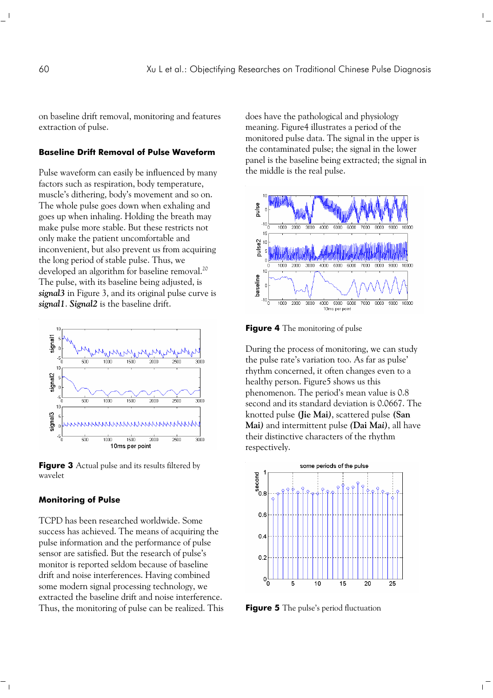on baseline drift removal, monitoring and features extraction of pulse.

#### **Baseline Drift Removal of Pulse Waveform**

Pulse waveform can easily be influenced by many factors such as respiration, body temperature, muscle's dithering, body's movement and so on. The whole pulse goes down when exhaling and goes up when inhaling. Holding the breath may make pulse more stable. But these restricts not only make the patient uncomfortable and inconvenient, but also prevent us from acquiring the long period of stable pulse. Thus, we developed an algorithm for baseline removal.<sup>20</sup> The pulse, with its baseline being adjusted, is *signal3* in Figure 3, and its original pulse curve is *signal1*. *Signal2* is the baseline drift.



**Figure 3** Actual pulse and its results filtered by wavelet

#### **Monitoring of Pulse**

 $\overline{\phantom{a}}$ 

TCPD has been researched worldwide. Some success has achieved. The means of acquiring the pulse information and the performance of pulse sensor are satisfied. But the research of pulse's monitor is reported seldom because of baseline drift and noise interferences. Having combined some modern signal processing technology, we extracted the baseline drift and noise interference. Thus, the monitoring of pulse can be realized. This

does have the pathological and physiology meaning. Figure4 illustrates a period of the monitored pulse data. The signal in the upper is the contaminated pulse; the signal in the lower panel is the baseline being extracted; the signal in the middle is the real pulse.

 $\frac{1}{\sqrt{2}}$ 

 $\overline{1}$ 



**Figure 4** The monitoring of pulse

During the process of monitoring, we can study the pulse rate's variation too. As far as pulse' rhythm concerned, it often changes even to a healthy person. Figure5 shows us this phenomenon. The period's mean value is 0.8 second and its standard deviation is 0.0667. The knotted pulse **(Jie Mai***)*, scattered pulse **(San Mai***)* and intermittent pulse *(***Dai Ma***i)*, all have their distinctive characters of the rhythm respectively.



**Figure 5** The pulse's period fluctuation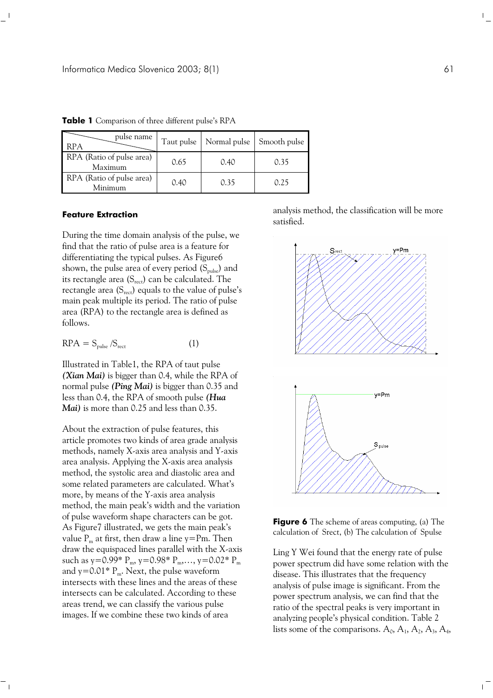| pulse name<br><b>RPA</b>             | Taut pulse | Normal pulse | Smooth pulse |
|--------------------------------------|------------|--------------|--------------|
| RPA (Ratio of pulse area)<br>Maximum | 0.65       | 0.40         | 0.35         |
| RPA (Ratio of pulse area)<br>Minimum | 0.40       | 0.35         | 0.25         |

**Table 1** Comparison of three different pulse's RPA

#### **Feature Extraction**

During the time domain analysis of the pulse, we find that the ratio of pulse area is a feature for differentiating the typical pulses. As Figure6 shown, the pulse area of every period  $(S_{\text{pulse}})$  and its rectangle area  $(S_{\text{rect}})$  can be calculated. The rectangle area  $(S_{\text{rect}})$  equals to the value of pulse's main peak multiple its period. The ratio of pulse area (RPA) to the rectangle area is defined as follows.

$$
RPA = S_{pulse}/S_{rect}
$$
 (1)

Illustrated in Table1, the RPA of taut pulse *(Xian Mai)* is bigger than 0.4, while the RPA of normal pulse *(Ping Mai)* is bigger than 0.35 and less than 0.4, the RPA of smooth pulse *(Hua Mai)* is more than 0.25 and less than 0.35.

About the extraction of pulse features, this article promotes two kinds of area grade analysis methods, namely X-axis area analysis and Y-axis area analysis. Applying the X-axis area analysis method, the systolic area and diastolic area and some related parameters are calculated. What's more, by means of the Y-axis area analysis method, the main peak's width and the variation of pulse waveform shape characters can be got. As Figure7 illustrated, we gets the main peak's value  $P_m$  at first, then draw a line y=Pm. Then draw the equispaced lines parallel with the X-axis such as y=0.99\*  $P_m$ , y=0.98\*  $P_m$ ,..., y=0.02\*  $P_m$ and  $y=0.01* P_m$ . Next, the pulse waveform intersects with these lines and the areas of these intersects can be calculated. According to these areas trend, we can classify the various pulse images. If we combine these two kinds of area

 $\sim$ 

analysis method, the classification will be more satisfied.



**Figure 6** The scheme of areas computing, (a) The calculation of Srect, (b) The calculation of Spulse

Ling Y Wei found that the energy rate of pulse power spectrum did have some relation with the disease. This illustrates that the frequency analysis of pulse image is significant. From the power spectrum analysis, we can find that the ratio of the spectral peaks is very important in analyzing people's physical condition. Table 2 lists some of the comparisons.  $A_0$ ,  $A_1$ ,  $A_2$ ,  $A_3$ ,  $A_4$ , L,

 $\mathbf{I}$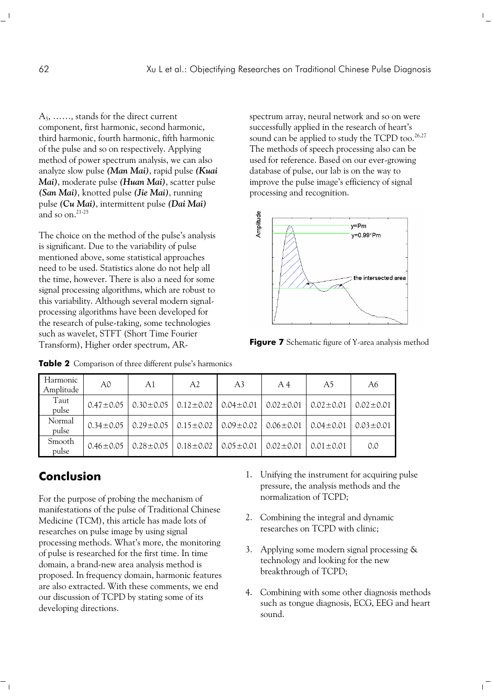A5, ……, stands for the direct current component, first harmonic, second harmonic, third harmonic, fourth harmonic, fifth harmonic of the pulse and so on respectively. Applying method of power spectrum analysis, we can also analyze slow pulse *(Man Mai)*, rapid pulse *(Kuai Mai)*, moderate pulse *(Huan Mai)*, scatter pulse *(San Mai)*, knotted pulse *(Jie Mai)*, running pulse *(Cu Mai)*, intermittent pulse *(Dai Mai)* and so on.<sup>21-25</sup>

The choice on the method of the pulse's analysis is significant. Due to the variability of pulse mentioned above, some statistical approaches need to be used. Statistics alone do not help all the time, however. There is also a need for some signal processing algorithms, which are robust to this variability. Although several modern signalprocessing algorithms have been developed for the research of pulse-taking, some technologies such as wavelet, STFT (Short Time Fourier Transform), Higher order spectrum, AR-

spectrum array, neural network and so on were successfully applied in the research of heart's sound can be applied to study the TCPD too.<sup>26,27</sup> The methods of speech processing also can be used for reference. Based on our ever-growing database of pulse, our lab is on the way to improve the pulse image's efficiency of signal processing and recognition.

 $\mathbb{F}_2$ 



**Figure 7** Schematic figure of Y-area analysis method

| Harmonic<br>Amplitude | A0              | A1                              | A2              | A <sub>3</sub>                                  | A <sub>4</sub> | A5              | A6              |
|-----------------------|-----------------|---------------------------------|-----------------|-------------------------------------------------|----------------|-----------------|-----------------|
| Taut<br>pulse         |                 | $0.47 \pm 0.05$ 0.30 $\pm$ 0.05 | $0.12 \pm 0.02$ | $0.04 \pm 0.01$ $0.02 \pm 0.01$                 |                | $0.02 \pm 0.01$ | $0.02 \pm 0.01$ |
| Normal<br>pulse       | $0.34 \pm 0.05$ | $0.29 \pm 0.05$                 |                 | $0.15 \pm 0.02$ $0.09 \pm 0.02$ $0.06 \pm 0.01$ |                | $0.04 \pm 0.01$ | $0.03 \pm 0.01$ |
| Smooth<br>pulse       | $0.46 \pm 0.05$ | $0.28 \pm 0.05$                 | $0.18 \pm 0.02$ | $0.05 \pm 0.01$                                 | $0.02 + 0.01$  | $0.01 + 0.01$   | 0.0             |

**Table 2** Comparison of three different pulse's harmonics

## **Conclusion**

For the purpose of probing the mechanism of manifestations of the pulse of Traditional Chinese Medicine (TCM), this article has made lots of researches on pulse image by using signal processing methods. What's more, the monitoring of pulse is researched for the first time. In time domain, a brand-new area analysis method is proposed. In frequency domain, harmonic features are also extracted. With these comments, we end our discussion of TCPD by stating some of its developing directions.

- 1. Unifying the instrument for acquiring pulse pressure, the analysis methods and the normalization of TCPD;
- 2. Combining the integral and dynamic researches on TCPD with clinic;
- 3. Applying some modern signal processing & technology and looking for the new breakthrough of TCPD;
- 4. Combining with some other diagnosis methods such as tongue diagnosis, ECG, EEG and heart sound.